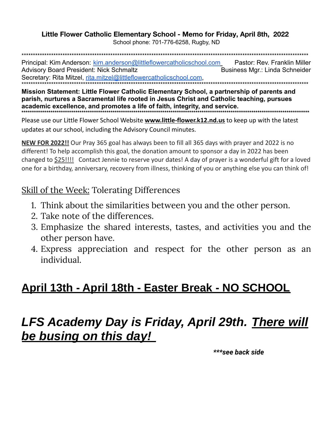#### Little Flower Catholic Elementary School - Memo for Friday, April 8th, 2022

School phone: 701-776-6258, Rugby, ND

Principal: Kim Anderson: kim.anderson@littleflowercatholicschool.com Pastor: Rev. Franklin Miller **Advisory Board President: Nick Schmaltz** Business Mgr.: Linda Schneider Secretary: Rita Mitzel, rita.mitzel@littleflowercatholicschool.com,

Mission Statement: Little Flower Catholic Elementary School, a partnership of parents and parish, nurtures a Sacramental life rooted in Jesus Christ and Catholic teaching, pursues academic excellence, and promotes a life of faith, integrity, and service. 

Please use our Little Flower School Website **www.little-flower.k12.nd.us** to keep up with the latest updates at our school, including the Advisory Council minutes.

**NEW FOR 2022!!** Our Pray 365 goal has always been to fill all 365 days with prayer and 2022 is no different! To help accomplish this goal, the donation amount to sponsor a day in 2022 has been changed to \$25!!!! Contact Jennie to reserve your dates! A day of prayer is a wonderful gift for a loved one for a birthday, anniversary, recovery from illness, thinking of you or anything else you can think of!

#### Skill of the Week: Tolerating Differences

- 1. Think about the similarities between you and the other person.
- 2. Take note of the differences.
- 3. Emphasize the shared interests, tastes, and activities you and the other person have.
- 4. Express appreciation and respect for the other person as an individual.

### <u> April 13th - April 18th - Easter Break - NO SCHOOL</u>

# **LFS Academy Day is Friday, April 29th. There will** <u>be busing on this day!</u>

\*\*\*see back side